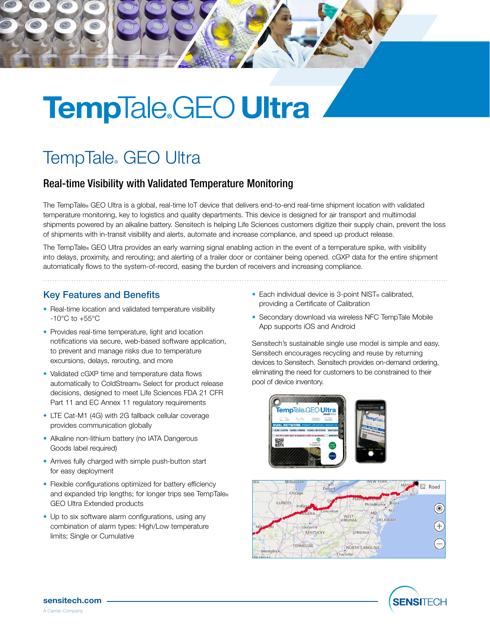# **TempTale, GEO Ultra**

## TempTale<sub>®</sub> GEO Ultra

### Real-time Visibility with Validated Temperature Monitoring

The TempTale® GEO Ultra is a global, real-time IoT device that delivers end-to-end real-time shipment location with validated temperature monitoring, key to logistics and quality departments. This device is designed for air transport and multimodal shipments powered by an alkaline battery. Sensitech is helping Life Sciences customers digitize their supply chain, prevent the loss of shipments with in-transit visibility and alerts, automate and increase compliance, and speed up product release.

The TempTale® GEO Ultra provides an early warning signal enabling action in the event of a temperature spike, with visibility into delays, proximity, and rerouting; and alerting of a trailer door or container being opened. cGXP data for the entire shipment automatically flows to the system-of-record, easing the burden of receivers and increasing compliance.

#### Key Features and Benefits

- Real-time location and validated temperature visibility  $-10^{\circ}$ C to  $+55^{\circ}$ C
- Provides real-time temperature, light and location notifications via secure, web-based software application, to prevent and manage risks due to temperature excursions, delays, rerouting, and more
- Validated cGXP time and temperature data flows automatically to ColdStream® Select for product release decisions, designed to meet Life Sciences FDA 21 CFR Part 11 and EC Annex 11 regulatory requirements
- LTE Cat-M1 (4G) with 2G fallback cellular coverage provides communication globally
- Alkaline non-lithium battery (no IATA Dangerous Goods label required)
- Arrives fully charged with simple push-button start for easy deployment
- Flexible configurations optimized for battery efficiency and expanded trip lengths; for longer trips see TempTale® GEO Ultra Extended products
- Up to six software alarm configurations, using any combination of alarm types: High/Low temperature limits; Single or Cumulative
- Each individual device is 3-point NIST® calibrated, providing a Certificate of Calibration
- Secondary download via wireless NFC TempTale Mobile App supports iOS and Android

Sensitech's sustainable single use model is simple and easy. Sensitech encourages recycling and reuse by returning devices to Sensitech. Sensitech provides on-demand ordering, eliminating the need for customers to be constrained to their pool of device inventory.